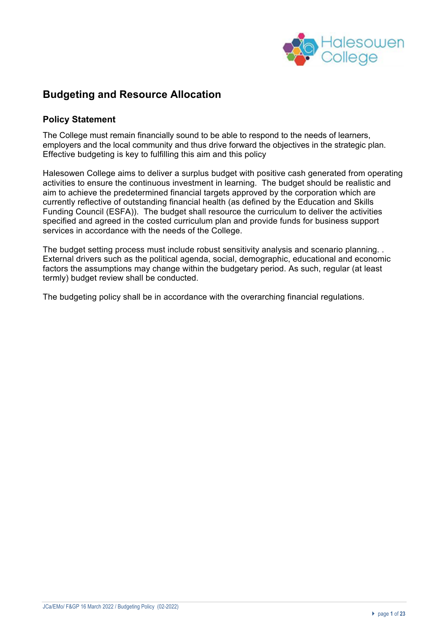

## **Budgeting and Resource Allocation**

### **Policy Statement**

The College must remain financially sound to be able to respond to the needs of learners, employers and the local community and thus drive forward the objectives in the strategic plan. Effective budgeting is key to fulfilling this aim and this policy

Halesowen College aims to deliver a surplus budget with positive cash generated from operating activities to ensure the continuous investment in learning. The budget should be realistic and aim to achieve the predetermined financial targets approved by the corporation which are currently reflective of outstanding financial health (as defined by the Education and Skills Funding Council (ESFA)). The budget shall resource the curriculum to deliver the activities specified and agreed in the costed curriculum plan and provide funds for business support services in accordance with the needs of the College.

The budget setting process must include robust sensitivity analysis and scenario planning. . External drivers such as the political agenda, social, demographic, educational and economic factors the assumptions may change within the budgetary period. As such, regular (at least termly) budget review shall be conducted.

The budgeting policy shall be in accordance with the overarching financial regulations.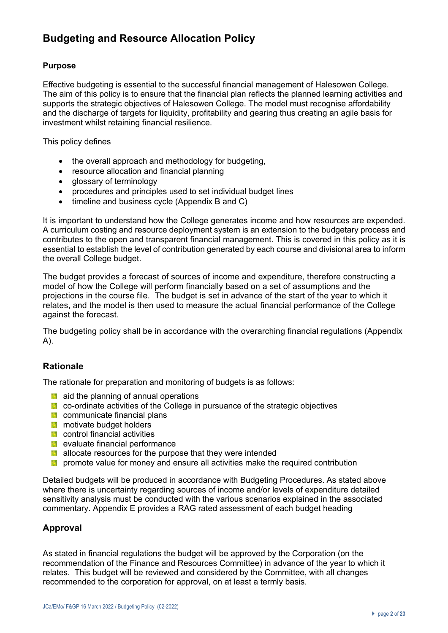# **Budgeting and Resource Allocation Policy**

#### **Purpose**

Effective budgeting is essential to the successful financial management of Halesowen College. The aim of this policy is to ensure that the financial plan reflects the planned learning activities and supports the strategic objectives of Halesowen College. The model must recognise affordability and the discharge of targets for liquidity, profitability and gearing thus creating an agile basis for investment whilst retaining financial resilience.

This policy defines

- the overall approach and methodology for budgeting,
- resource allocation and financial planning
- glossary of terminology
- procedures and principles used to set individual budget lines
- timeline and business cycle (Appendix B and C)

It is important to understand how the College generates income and how resources are expended. A curriculum costing and resource deployment system is an extension to the budgetary process and contributes to the open and transparent financial management. This is covered in this policy as it is essential to establish the level of contribution generated by each course and divisional area to inform the overall College budget.

The budget provides a forecast of sources of income and expenditure, therefore constructing a model of how the College will perform financially based on a set of assumptions and the projections in the course file. The budget is set in advance of the start of the year to which it relates, and the model is then used to measure the actual financial performance of the College against the forecast.

The budgeting policy shall be in accordance with the overarching financial regulations (Appendix A).

#### **Rationale**

The rationale for preparation and monitoring of budgets is as follows:

- **a** aid the planning of annual operations
- **E.** co-ordinate activities of the College in pursuance of the strategic objectives
- **Communicate financial plans**
- **M** motivate budget holders
- **El** control financial activities
- **E** evaluate financial performance
- **allocate resources for the purpose that they were intended**
- $\blacksquare$  promote value for money and ensure all activities make the required contribution

Detailed budgets will be produced in accordance with Budgeting Procedures. As stated above where there is uncertainty regarding sources of income and/or levels of expenditure detailed sensitivity analysis must be conducted with the various scenarios explained in the associated commentary. Appendix E provides a RAG rated assessment of each budget heading

## **Approval**

As stated in financial regulations the budget will be approved by the Corporation (on the recommendation of the Finance and Resources Committee) in advance of the year to which it relates. This budget will be reviewed and considered by the Committee, with all changes recommended to the corporation for approval, on at least a termly basis.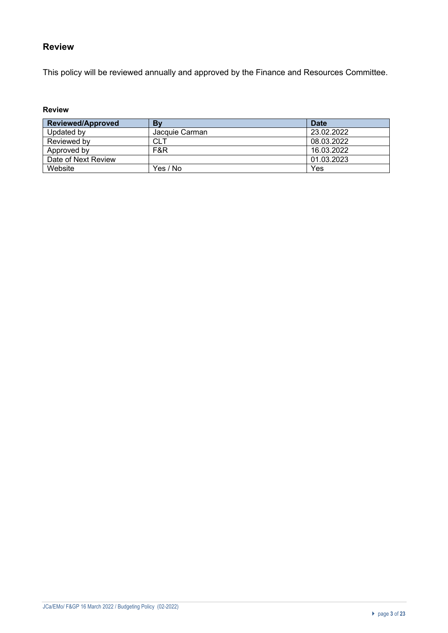## **Review**

This policy will be reviewed annually and approved by the Finance and Resources Committee.

#### **Review**

| <b>Reviewed/Approved</b> | Bv             | <b>Date</b> |
|--------------------------|----------------|-------------|
| Updated by               | Jacquie Carman | 23.02.2022  |
| Reviewed by              | <b>CLT</b>     | 08.03.2022  |
| Approved by              | F&R            | 16.03.2022  |
| Date of Next Review      |                | 01.03.2023  |
| Website                  | Yes / No       | Yes         |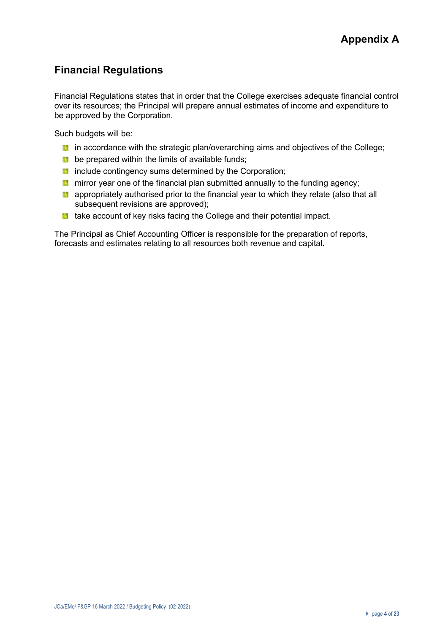# **Financial Regulations**

Financial Regulations states that in order that the College exercises adequate financial control over its resources; the Principal will prepare annual estimates of income and expenditure to be approved by the Corporation.

Such budgets will be:

- **I** in accordance with the strategic plan/overarching aims and objectives of the College;
- $\blacksquare$  be prepared within the limits of available funds;
- **include contingency sums determined by the Corporation;**
- **T** mirror year one of the financial plan submitted annually to the funding agency;
- $\blacksquare$  appropriately authorised prior to the financial year to which they relate (also that all subsequent revisions are approved);
- **th** take account of key risks facing the College and their potential impact.

The Principal as Chief Accounting Officer is responsible for the preparation of reports, forecasts and estimates relating to all resources both revenue and capital.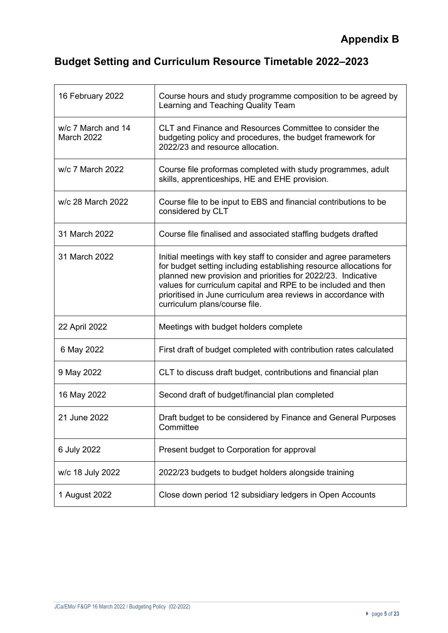# **Budget Setting and Curriculum Resource Timetable 2022–2023**

| 16 February 2022                 | Course hours and study programme composition to be agreed by<br>Learning and Teaching Quality Team                                                                                                                                                                                                                                                                         |
|----------------------------------|----------------------------------------------------------------------------------------------------------------------------------------------------------------------------------------------------------------------------------------------------------------------------------------------------------------------------------------------------------------------------|
| w/c 7 March and 14<br>March 2022 | CLT and Finance and Resources Committee to consider the<br>budgeting policy and procedures, the budget framework for<br>2022/23 and resource allocation.                                                                                                                                                                                                                   |
| w/c 7 March 2022                 | Course file proformas completed with study programmes, adult<br>skills, apprenticeships, HE and EHE provision.                                                                                                                                                                                                                                                             |
| w/c 28 March 2022                | Course file to be input to EBS and financial contributions to be<br>considered by CLT                                                                                                                                                                                                                                                                                      |
| 31 March 2022                    | Course file finalised and associated staffing budgets drafted                                                                                                                                                                                                                                                                                                              |
| 31 March 2022                    | Initial meetings with key staff to consider and agree parameters<br>for budget setting including establishing resource allocations for<br>planned new provision and priorities for 2022/23. Indicative<br>values for curriculum capital and RPE to be included and then<br>prioritised in June curriculum area reviews in accordance with<br>curriculum plans/course file. |
| 22 April 2022                    | Meetings with budget holders complete                                                                                                                                                                                                                                                                                                                                      |
| 6 May 2022                       | First draft of budget completed with contribution rates calculated                                                                                                                                                                                                                                                                                                         |
| 9 May 2022                       | CLT to discuss draft budget, contributions and financial plan                                                                                                                                                                                                                                                                                                              |
| 16 May 2022                      | Second draft of budget/financial plan completed                                                                                                                                                                                                                                                                                                                            |
| 21 June 2022                     | Draft budget to be considered by Finance and General Purposes<br>Committee                                                                                                                                                                                                                                                                                                 |
| 6 July 2022                      | Present budget to Corporation for approval                                                                                                                                                                                                                                                                                                                                 |
| w/c 18 July 2022                 | 2022/23 budgets to budget holders alongside training                                                                                                                                                                                                                                                                                                                       |
| 1 August 2022                    | Close down period 12 subsidiary ledgers in Open Accounts                                                                                                                                                                                                                                                                                                                   |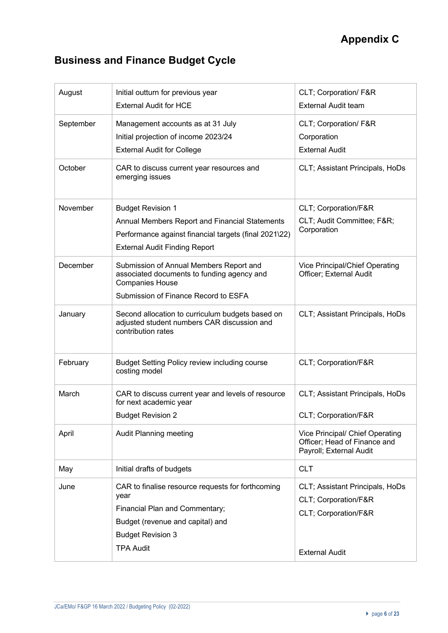# **Business and Finance Budget Cycle**

| August    | Initial outturn for previous year<br><b>External Audit for HCE</b>                                                                                                              | CLT; Corporation/ F&R<br><b>External Audit team</b>                                                      |
|-----------|---------------------------------------------------------------------------------------------------------------------------------------------------------------------------------|----------------------------------------------------------------------------------------------------------|
| September | Management accounts as at 31 July<br>Initial projection of income 2023/24<br><b>External Audit for College</b>                                                                  | CLT; Corporation/ F&R<br>Corporation<br><b>External Audit</b>                                            |
| October   | CAR to discuss current year resources and<br>emerging issues                                                                                                                    | CLT; Assistant Principals, HoDs                                                                          |
| November  | <b>Budget Revision 1</b><br>Annual Members Report and Financial Statements<br>Performance against financial targets (final 2021\22)<br><b>External Audit Finding Report</b>     | CLT; Corporation/F&R<br>CLT; Audit Committee; F&R<br>Corporation                                         |
| December  | Submission of Annual Members Report and<br>associated documents to funding agency and<br><b>Companies House</b><br>Submission of Finance Record to ESFA                         | Vice Principal/Chief Operating<br>Officer; External Audit                                                |
| January   | Second allocation to curriculum budgets based on<br>adjusted student numbers CAR discussion and<br>contribution rates                                                           | CLT; Assistant Principals, HoDs                                                                          |
| February  | <b>Budget Setting Policy review including course</b><br>costing model                                                                                                           | CLT; Corporation/F&R                                                                                     |
| March     | CAR to discuss current year and levels of resource<br>for next academic year<br><b>Budget Revision 2</b>                                                                        | CLT; Assistant Principals, HoDs<br>CLT; Corporation/F&R                                                  |
| April     | Audit Planning meeting                                                                                                                                                          | Vice Principal/ Chief Operating<br>Officer; Head of Finance and<br>Payroll; External Audit               |
| May       | Initial drafts of budgets                                                                                                                                                       | <b>CLT</b>                                                                                               |
| June      | CAR to finalise resource requests for forthcoming<br>year<br>Financial Plan and Commentary;<br>Budget (revenue and capital) and<br><b>Budget Revision 3</b><br><b>TPA Audit</b> | CLT; Assistant Principals, HoDs<br>CLT; Corporation/F&R<br>CLT; Corporation/F&R<br><b>External Audit</b> |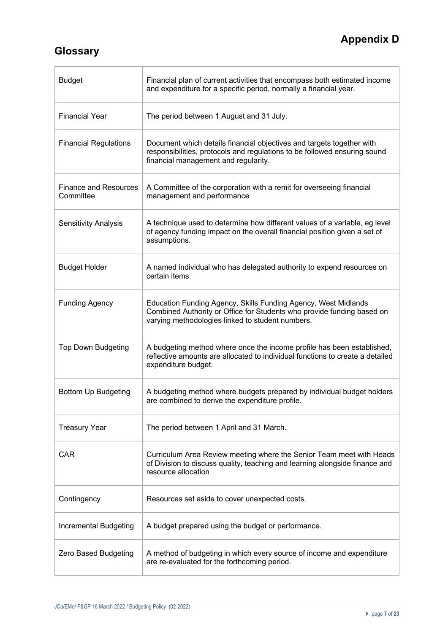# **Appendix D**

# **Glossary**

 $\overline{\Gamma}$ 

| <b>Budget</b>                             | Financial plan of current activities that encompass both estimated income<br>and expenditure for a specific period, normally a financial year.                                               |
|-------------------------------------------|----------------------------------------------------------------------------------------------------------------------------------------------------------------------------------------------|
| <b>Financial Year</b>                     | The period between 1 August and 31 July.                                                                                                                                                     |
| <b>Financial Regulations</b>              | Document which details financial objectives and targets together with<br>responsibilities, protocols and regulations to be followed ensuring sound<br>financial management and regularity.   |
| <b>Finance and Resources</b><br>Committee | A Committee of the corporation with a remit for overseeing financial<br>management and performance                                                                                           |
| <b>Sensitivity Analysis</b>               | A technique used to determine how different values of a variable, eg level<br>of agency funding impact on the overall financial position given a set of<br>assumptions.                      |
| <b>Budget Holder</b>                      | A named individual who has delegated authority to expend resources on<br>certain items.                                                                                                      |
| <b>Funding Agency</b>                     | Education Funding Agency, Skills Funding Agency, West Midlands<br>Combined Authority or Office for Students who provide funding based on<br>varying methodologies linked to student numbers. |
| <b>Top Down Budgeting</b>                 | A budgeting method where once the income profile has been established,<br>reflective amounts are allocated to individual functions to create a detailed<br>expenditure budget.               |
| Bottom Up Budgeting                       | A budgeting method where budgets prepared by individual budget holders<br>are combined to derive the expenditure profile.                                                                    |
| <b>Treasury Year</b>                      | The period between 1 April and 31 March.                                                                                                                                                     |
| <b>CAR</b>                                | Curriculum Area Review meeting where the Senior Team meet with Heads<br>of Division to discuss quality, teaching and learning alongside finance and<br>resource allocation                   |
| Contingency                               | Resources set aside to cover unexpected costs.                                                                                                                                               |
| Incremental Budgeting                     | A budget prepared using the budget or performance.                                                                                                                                           |
| Zero Based Budgeting                      | A method of budgeting in which every source of income and expenditure<br>are re-evaluated for the forthcoming period.                                                                        |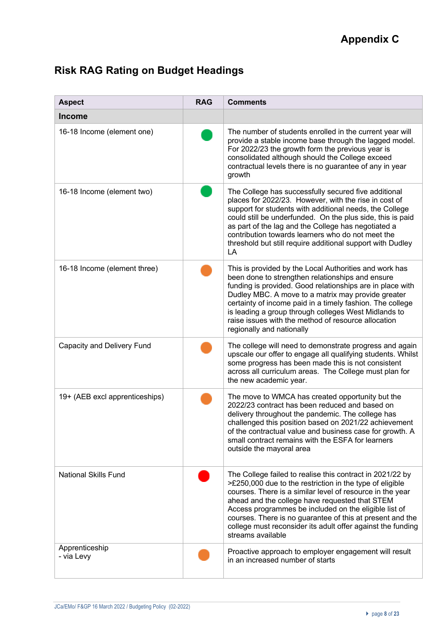# **Risk RAG Rating on Budget Headings**

| <b>Aspect</b>                  | <b>RAG</b> | <b>Comments</b>                                                                                                                                                                                                                                                                                                                                                                                                                                |
|--------------------------------|------------|------------------------------------------------------------------------------------------------------------------------------------------------------------------------------------------------------------------------------------------------------------------------------------------------------------------------------------------------------------------------------------------------------------------------------------------------|
| <b>Income</b>                  |            |                                                                                                                                                                                                                                                                                                                                                                                                                                                |
| 16-18 Income (element one)     |            | The number of students enrolled in the current year will<br>provide a stable income base through the lagged model.<br>For 2022/23 the growth form the previous year is<br>consolidated although should the College exceed<br>contractual levels there is no guarantee of any in year<br>growth                                                                                                                                                 |
| 16-18 Income (element two)     |            | The College has successfully secured five additional<br>places for 2022/23. However, with the rise in cost of<br>support for students with additional needs, the College<br>could still be underfunded. On the plus side, this is paid<br>as part of the lag and the College has negotiated a<br>contribution towards learners who do not meet the<br>threshold but still require additional support with Dudley<br>LA                         |
| 16-18 Income (element three)   |            | This is provided by the Local Authorities and work has<br>been done to strengthen relationships and ensure<br>funding is provided. Good relationships are in place with<br>Dudley MBC. A move to a matrix may provide greater<br>certainty of income paid in a timely fashion. The college<br>is leading a group through colleges West Midlands to<br>raise issues with the method of resource allocation<br>regionally and nationally         |
| Capacity and Delivery Fund     |            | The college will need to demonstrate progress and again<br>upscale our offer to engage all qualifying students. Whilst<br>some progress has been made this is not consistent<br>across all curriculum areas. The College must plan for<br>the new academic year.                                                                                                                                                                               |
| 19+ (AEB excl apprenticeships) |            | The move to WMCA has created opportunity but the<br>2022/23 contract has been reduced and based on<br>delivery throughout the pandemic. The college has<br>challenged this position based on 2021/22 achievement<br>of the contractual value and business case for growth. A<br>small contract remains with the ESFA for learners<br>outside the mayoral area                                                                                  |
| <b>National Skills Fund</b>    |            | The College failed to realise this contract in 2021/22 by<br>>£250,000 due to the restriction in the type of eligible<br>courses. There is a similar level of resource in the year<br>ahead and the college have requested that STEM<br>Access programmes be included on the eligible list of<br>courses. There is no guarantee of this at present and the<br>college must reconsider its adult offer against the funding<br>streams available |
| Apprenticeship<br>- via Levy   |            | Proactive approach to employer engagement will result<br>in an increased number of starts                                                                                                                                                                                                                                                                                                                                                      |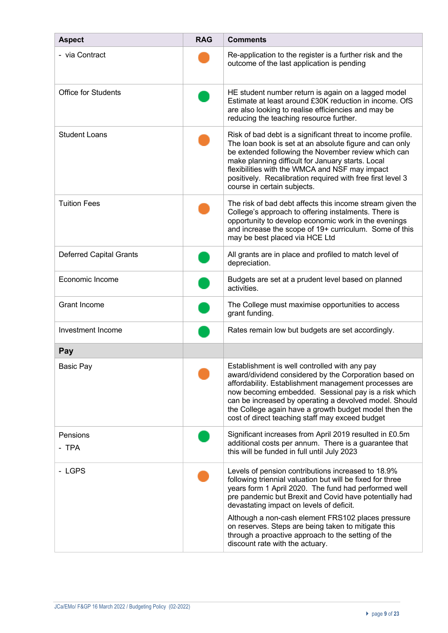| <b>Aspect</b>                  | <b>RAG</b> | <b>Comments</b>                                                                                                                                                                                                                                                                                                                                                                               |
|--------------------------------|------------|-----------------------------------------------------------------------------------------------------------------------------------------------------------------------------------------------------------------------------------------------------------------------------------------------------------------------------------------------------------------------------------------------|
| - via Contract                 |            | Re-application to the register is a further risk and the<br>outcome of the last application is pending                                                                                                                                                                                                                                                                                        |
| <b>Office for Students</b>     |            | HE student number return is again on a lagged model<br>Estimate at least around £30K reduction in income. OfS<br>are also looking to realise efficiencies and may be<br>reducing the teaching resource further.                                                                                                                                                                               |
| <b>Student Loans</b>           |            | Risk of bad debt is a significant threat to income profile.<br>The loan book is set at an absolute figure and can only<br>be extended following the November review which can<br>make planning difficult for January starts. Local<br>flexibilities with the WMCA and NSF may impact<br>positively. Recalibration required with free first level 3<br>course in certain subjects.             |
| <b>Tuition Fees</b>            |            | The risk of bad debt affects this income stream given the<br>College's approach to offering instalments. There is<br>opportunity to develop economic work in the evenings<br>and increase the scope of 19+ curriculum. Some of this<br>may be best placed via HCE Ltd                                                                                                                         |
| <b>Deferred Capital Grants</b> |            | All grants are in place and profiled to match level of<br>depreciation.                                                                                                                                                                                                                                                                                                                       |
| Economic Income                |            | Budgets are set at a prudent level based on planned<br>activities.                                                                                                                                                                                                                                                                                                                            |
| <b>Grant Income</b>            |            | The College must maximise opportunities to access<br>grant funding.                                                                                                                                                                                                                                                                                                                           |
| Investment Income              |            | Rates remain low but budgets are set accordingly.                                                                                                                                                                                                                                                                                                                                             |
| Pay                            |            |                                                                                                                                                                                                                                                                                                                                                                                               |
| Basic Pay                      |            | Establishment is well controlled with any pay<br>award/dividend considered by the Corporation based on<br>affordability. Establishment management processes are<br>now becoming embedded. Sessional pay is a risk which<br>can be increased by operating a devolved model. Should<br>the College again have a growth budget model then the<br>cost of direct teaching staff may exceed budget |
| Pensions<br>- TPA              |            | Significant increases from April 2019 resulted in £0.5m<br>additional costs per annum. There is a guarantee that<br>this will be funded in full until July 2023                                                                                                                                                                                                                               |
| - LGPS                         |            | Levels of pension contributions increased to 18.9%<br>following triennial valuation but will be fixed for three<br>years form 1 April 2020. The fund had performed well<br>pre pandemic but Brexit and Covid have potentially had<br>devastating impact on levels of deficit.                                                                                                                 |
|                                |            | Although a non-cash element FRS102 places pressure<br>on reserves. Steps are being taken to mitigate this<br>through a proactive approach to the setting of the<br>discount rate with the actuary.                                                                                                                                                                                            |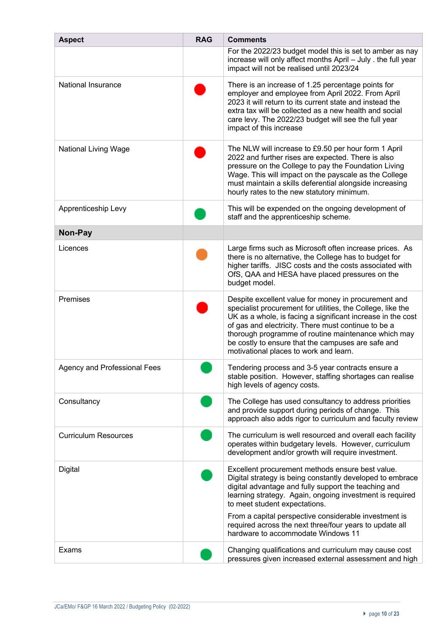| <b>Aspect</b>                       | <b>RAG</b> | <b>Comments</b>                                                                                                                                                                                                                                                                                                                                                                                  |
|-------------------------------------|------------|--------------------------------------------------------------------------------------------------------------------------------------------------------------------------------------------------------------------------------------------------------------------------------------------------------------------------------------------------------------------------------------------------|
|                                     |            | For the 2022/23 budget model this is set to amber as nay<br>increase will only affect months April - July . the full year<br>impact will not be realised until 2023/24                                                                                                                                                                                                                           |
| National Insurance                  |            | There is an increase of 1.25 percentage points for<br>employer and employee from April 2022. From April<br>2023 it will return to its current state and instead the<br>extra tax will be collected as a new health and social<br>care levy. The 2022/23 budget will see the full year<br>impact of this increase                                                                                 |
| National Living Wage                |            | The NLW will increase to £9.50 per hour form 1 April<br>2022 and further rises are expected. There is also<br>pressure on the College to pay the Foundation Living<br>Wage. This will impact on the payscale as the College<br>must maintain a skills deferential alongside increasing<br>hourly rates to the new statutory minimum.                                                             |
| Apprenticeship Levy                 |            | This will be expended on the ongoing development of<br>staff and the apprenticeship scheme.                                                                                                                                                                                                                                                                                                      |
| Non-Pay                             |            |                                                                                                                                                                                                                                                                                                                                                                                                  |
| Licences                            |            | Large firms such as Microsoft often increase prices. As<br>there is no alternative, the College has to budget for<br>higher tariffs. JISC costs and the costs associated with<br>OfS, QAA and HESA have placed pressures on the<br>budget model.                                                                                                                                                 |
| Premises                            |            | Despite excellent value for money in procurement and<br>specialist procurement for utilities, the College, like the<br>UK as a whole, is facing a significant increase in the cost<br>of gas and electricity. There must continue to be a<br>thorough programme of routine maintenance which may<br>be costly to ensure that the campuses are safe and<br>motivational places to work and learn. |
| <b>Agency and Professional Fees</b> |            | Tendering process and 3-5 year contracts ensure a<br>stable position. However, staffing shortages can realise<br>high levels of agency costs.                                                                                                                                                                                                                                                    |
| Consultancy                         |            | The College has used consultancy to address priorities<br>and provide support during periods of change. This<br>approach also adds rigor to curriculum and faculty review                                                                                                                                                                                                                        |
| <b>Curriculum Resources</b>         |            | The curriculum is well resourced and overall each facility<br>operates within budgetary levels. However, curriculum<br>development and/or growth will require investment.                                                                                                                                                                                                                        |
| <b>Digital</b>                      |            | Excellent procurement methods ensure best value.<br>Digital strategy is being constantly developed to embrace<br>digital advantage and fully support the teaching and<br>learning strategy. Again, ongoing investment is required<br>to meet student expectations.<br>From a capital perspective considerable investment is                                                                      |
|                                     |            | required across the next three/four years to update all<br>hardware to accommodate Windows 11                                                                                                                                                                                                                                                                                                    |
| Exams                               |            | Changing qualifications and curriculum may cause cost<br>pressures given increased external assessment and high                                                                                                                                                                                                                                                                                  |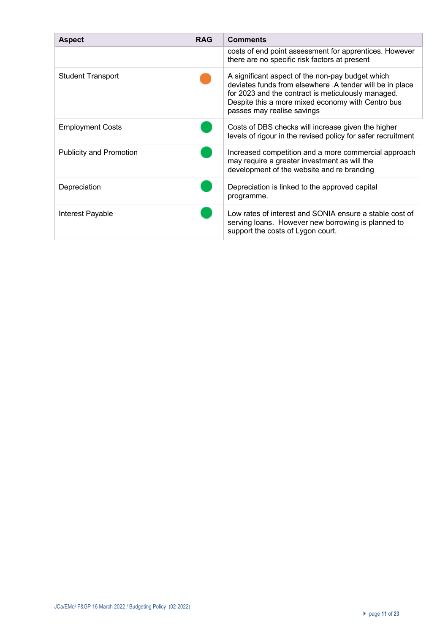| <b>Aspect</b>                  | <b>RAG</b> | <b>Comments</b>                                                                                                                                                                                                                                       |
|--------------------------------|------------|-------------------------------------------------------------------------------------------------------------------------------------------------------------------------------------------------------------------------------------------------------|
|                                |            | costs of end point assessment for apprentices. However<br>there are no specific risk factors at present                                                                                                                                               |
| <b>Student Transport</b>       |            | A significant aspect of the non-pay budget which<br>deviates funds from elsewhere .A tender will be in place<br>for 2023 and the contract is meticulously managed.<br>Despite this a more mixed economy with Centro bus<br>passes may realise savings |
| <b>Employment Costs</b>        |            | Costs of DBS checks will increase given the higher<br>levels of rigour in the revised policy for safer recruitment                                                                                                                                    |
| <b>Publicity and Promotion</b> |            | Increased competition and a more commercial approach<br>may require a greater investment as will the<br>development of the website and re branding                                                                                                    |
| Depreciation                   |            | Depreciation is linked to the approved capital<br>programme.                                                                                                                                                                                          |
| Interest Payable               |            | Low rates of interest and SONIA ensure a stable cost of<br>serving loans. However new borrowing is planned to<br>support the costs of Lygon court.                                                                                                    |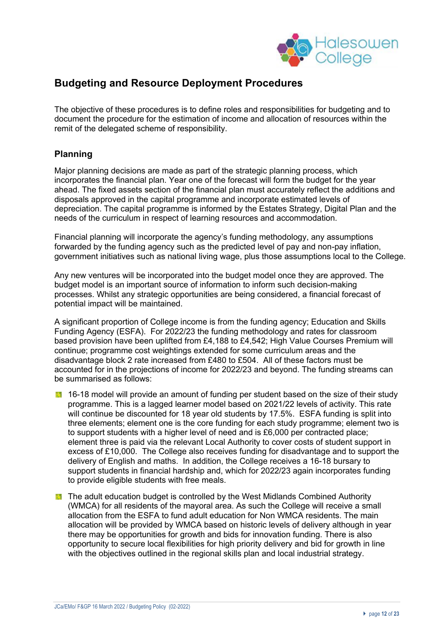

## **Budgeting and Resource Deployment Procedures**

The objective of these procedures is to define roles and responsibilities for budgeting and to document the procedure for the estimation of income and allocation of resources within the remit of the delegated scheme of responsibility.

## **Planning**

Major planning decisions are made as part of the strategic planning process, which incorporates the financial plan. Year one of the forecast will form the budget for the year ahead. The fixed assets section of the financial plan must accurately reflect the additions and disposals approved in the capital programme and incorporate estimated levels of depreciation. The capital programme is informed by the Estates Strategy, Digital Plan and the needs of the curriculum in respect of learning resources and accommodation.

Financial planning will incorporate the agency's funding methodology, any assumptions forwarded by the funding agency such as the predicted level of pay and non-pay inflation, government initiatives such as national living wage, plus those assumptions local to the College.

Any new ventures will be incorporated into the budget model once they are approved. The budget model is an important source of information to inform such decision-making processes. Whilst any strategic opportunities are being considered, a financial forecast of potential impact will be maintained.

A significant proportion of College income is from the funding agency; Education and Skills Funding Agency (ESFA). For 2022/23 the funding methodology and rates for classroom based provision have been uplifted from £4,188 to £4,542; High Value Courses Premium will continue; programme cost weightings extended for some curriculum areas and the disadvantage block 2 rate increased from £480 to £504. All of these factors must be accounted for in the projections of income for 2022/23 and beyond. The funding streams can be summarised as follows:

- 16-18 model will provide an amount of funding per student based on the size of their study programme. This is a lagged learner model based on 2021/22 levels of activity. This rate will continue be discounted for 18 year old students by 17.5%. ESFA funding is split into three elements; element one is the core funding for each study programme; element two is to support students with a higher level of need and is £6,000 per contracted place; element three is paid via the relevant Local Authority to cover costs of student support in excess of £10,000. The College also receives funding for disadvantage and to support the delivery of English and maths. In addition, the College receives a 16-18 bursary to support students in financial hardship and, which for 2022/23 again incorporates funding to provide eligible students with free meals.
- **The adult education budget is controlled by the West Midlands Combined Authority** (WMCA) for all residents of the mayoral area. As such the College will receive a small allocation from the ESFA to fund adult education for Non WMCA residents. The main allocation will be provided by WMCA based on historic levels of delivery although in year there may be opportunities for growth and bids for innovation funding. There is also opportunity to secure local flexibilities for high priority delivery and bid for growth in line with the objectives outlined in the regional skills plan and local industrial strategy.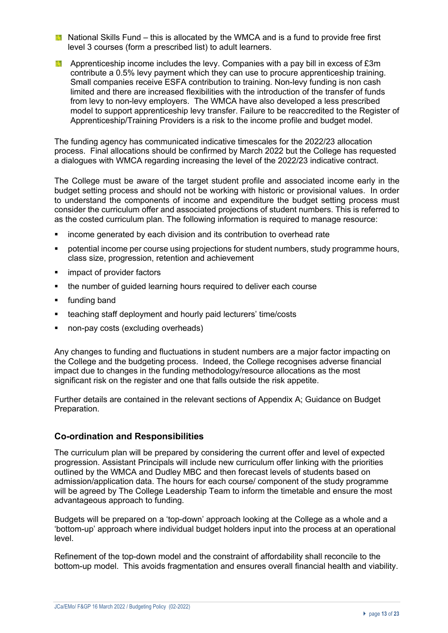- **National Skills Fund this is allocated by the WMCA and is a fund to provide free first** level 3 courses (form a prescribed list) to adult learners.
- **Apprenticeship income includes the levy. Companies with a pay bill in excess of £3m** contribute a 0.5% levy payment which they can use to procure apprenticeship training. Small companies receive ESFA contribution to training. Non-levy funding is non cash limited and there are increased flexibilities with the introduction of the transfer of funds from levy to non-levy employers. The WMCA have also developed a less prescribed model to support apprenticeship levy transfer. Failure to be reaccredited to the Register of Apprenticeship/Training Providers is a risk to the income profile and budget model.

The funding agency has communicated indicative timescales for the 2022/23 allocation process. Final allocations should be confirmed by March 2022 but the College has requested a dialogues with WMCA regarding increasing the level of the 2022/23 indicative contract.

The College must be aware of the target student profile and associated income early in the budget setting process and should not be working with historic or provisional values. In order to understand the components of income and expenditure the budget setting process must consider the curriculum offer and associated projections of student numbers. This is referred to as the costed curriculum plan. The following information is required to manage resource:

- § income generated by each division and its contribution to overhead rate
- potential income per course using projections for student numbers, study programme hours, class size, progression, retention and achievement
- impact of provider factors
- the number of quided learning hours required to deliver each course
- § funding band
- teaching staff deployment and hourly paid lecturers' time/costs
- non-pay costs (excluding overheads)

Any changes to funding and fluctuations in student numbers are a major factor impacting on the College and the budgeting process. Indeed, the College recognises adverse financial impact due to changes in the funding methodology/resource allocations as the most significant risk on the register and one that falls outside the risk appetite.

Further details are contained in the relevant sections of Appendix A; Guidance on Budget Preparation.

#### **Co-ordination and Responsibilities**

The curriculum plan will be prepared by considering the current offer and level of expected progression. Assistant Principals will include new curriculum offer linking with the priorities outlined by the WMCA and Dudley MBC and then forecast levels of students based on admission/application data. The hours for each course/ component of the study programme will be agreed by The College Leadership Team to inform the timetable and ensure the most advantageous approach to funding.

Budgets will be prepared on a 'top-down' approach looking at the College as a whole and a 'bottom-up' approach where individual budget holders input into the process at an operational level.

Refinement of the top-down model and the constraint of affordability shall reconcile to the bottom-up model. This avoids fragmentation and ensures overall financial health and viability.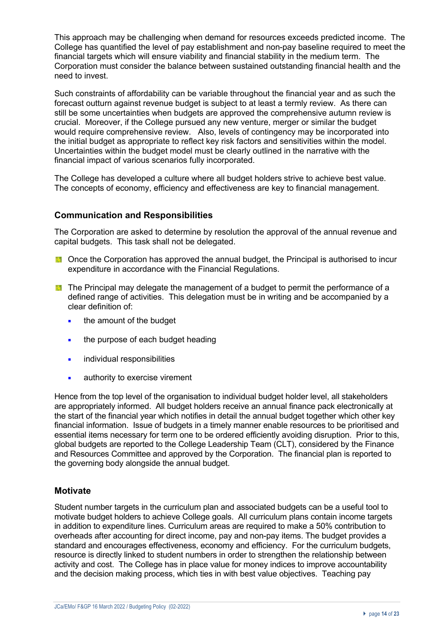This approach may be challenging when demand for resources exceeds predicted income. The College has quantified the level of pay establishment and non-pay baseline required to meet the financial targets which will ensure viability and financial stability in the medium term. The Corporation must consider the balance between sustained outstanding financial health and the need to invest.

Such constraints of affordability can be variable throughout the financial year and as such the forecast outturn against revenue budget is subject to at least a termly review. As there can still be some uncertainties when budgets are approved the comprehensive autumn review is crucial. Moreover, if the College pursued any new venture, merger or similar the budget would require comprehensive review. Also, levels of contingency may be incorporated into the initial budget as appropriate to reflect key risk factors and sensitivities within the model. Uncertainties within the budget model must be clearly outlined in the narrative with the financial impact of various scenarios fully incorporated.

The College has developed a culture where all budget holders strive to achieve best value. The concepts of economy, efficiency and effectiveness are key to financial management.

## **Communication and Responsibilities**

The Corporation are asked to determine by resolution the approval of the annual revenue and capital budgets. This task shall not be delegated.

- **D** Once the Corporation has approved the annual budget, the Principal is authorised to incur expenditure in accordance with the Financial Regulations.
- **The Principal may delegate the management of a budget to permit the performance of a** defined range of activities. This delegation must be in writing and be accompanied by a clear definition of:
	- the amount of the budget
	- the purpose of each budget heading
	- **•** individual responsibilities
	- **EXECUTE:** authority to exercise virement

Hence from the top level of the organisation to individual budget holder level, all stakeholders are appropriately informed. All budget holders receive an annual finance pack electronically at the start of the financial year which notifies in detail the annual budget together which other key financial information. Issue of budgets in a timely manner enable resources to be prioritised and essential items necessary for term one to be ordered efficiently avoiding disruption. Prior to this, global budgets are reported to the College Leadership Team (CLT), considered by the Finance and Resources Committee and approved by the Corporation. The financial plan is reported to the governing body alongside the annual budget.

## **Motivate**

Student number targets in the curriculum plan and associated budgets can be a useful tool to motivate budget holders to achieve College goals. All curriculum plans contain income targets in addition to expenditure lines. Curriculum areas are required to make a 50% contribution to overheads after accounting for direct income, pay and non-pay items. The budget provides a standard and encourages effectiveness, economy and efficiency. For the curriculum budgets, resource is directly linked to student numbers in order to strengthen the relationship between activity and cost. The College has in place value for money indices to improve accountability and the decision making process, which ties in with best value objectives. Teaching pay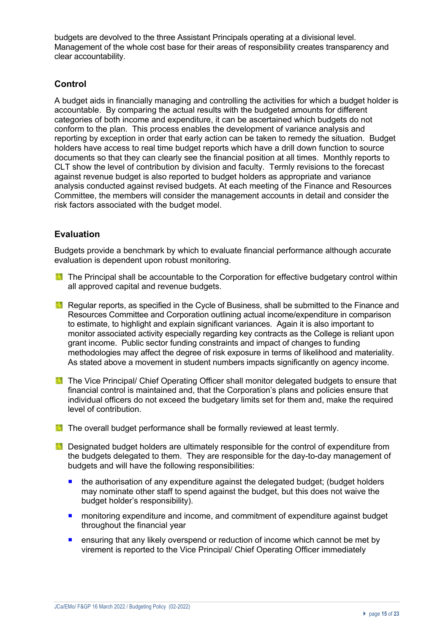budgets are devolved to the three Assistant Principals operating at a divisional level. Management of the whole cost base for their areas of responsibility creates transparency and clear accountability.

## **Control**

A budget aids in financially managing and controlling the activities for which a budget holder is accountable. By comparing the actual results with the budgeted amounts for different categories of both income and expenditure, it can be ascertained which budgets do not conform to the plan. This process enables the development of variance analysis and reporting by exception in order that early action can be taken to remedy the situation. Budget holders have access to real time budget reports which have a drill down function to source documents so that they can clearly see the financial position at all times. Monthly reports to CLT show the level of contribution by division and faculty. Termly revisions to the forecast against revenue budget is also reported to budget holders as appropriate and variance analysis conducted against revised budgets. At each meeting of the Finance and Resources Committee, the members will consider the management accounts in detail and consider the risk factors associated with the budget model.

## **Evaluation**

Budgets provide a benchmark by which to evaluate financial performance although accurate evaluation is dependent upon robust monitoring.

- **The Principal shall be accountable to the Corporation for effective budgetary control within** all approved capital and revenue budgets.
- **Regular reports, as specified in the Cycle of Business, shall be submitted to the Finance and** Resources Committee and Corporation outlining actual income/expenditure in comparison to estimate, to highlight and explain significant variances. Again it is also important to monitor associated activity especially regarding key contracts as the College is reliant upon grant income. Public sector funding constraints and impact of changes to funding methodologies may affect the degree of risk exposure in terms of likelihood and materiality. As stated above a movement in student numbers impacts significantly on agency income.
- **The Vice Principal/ Chief Operating Officer shall monitor delegated budgets to ensure that** financial control is maintained and, that the Corporation's plans and policies ensure that individual officers do not exceed the budgetary limits set for them and, make the required level of contribution.
- **The overall budget performance shall be formally reviewed at least termly.**
- **Designated budget holders are ultimately responsible for the control of expenditure from** the budgets delegated to them. They are responsible for the day-to-day management of budgets and will have the following responsibilities:
	- the authorisation of any expenditure against the delegated budget; (budget holders may nominate other staff to spend against the budget, but this does not waive the budget holder's responsibility).
	- monitoring expenditure and income, and commitment of expenditure against budget throughout the financial year
	- **E** ensuring that any likely overspend or reduction of income which cannot be met by virement is reported to the Vice Principal/ Chief Operating Officer immediately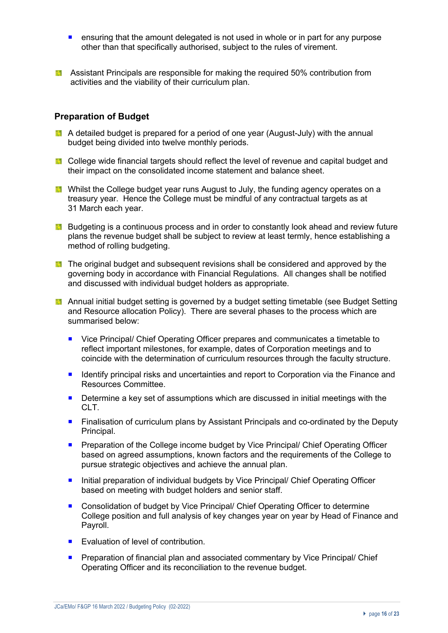- ensuring that the amount delegated is not used in whole or in part for any purpose other than that specifically authorised, subject to the rules of virement.
- **Assistant Principals are responsible for making the required 50% contribution from** activities and the viability of their curriculum plan.

### **Preparation of Budget**

- A detailed budget is prepared for a period of one year (August-July) with the annual budget being divided into twelve monthly periods.
- **College wide financial targets should reflect the level of revenue and capital budget and** their impact on the consolidated income statement and balance sheet.
- **M** Whilst the College budget year runs August to July, the funding agency operates on a treasury year. Hence the College must be mindful of any contractual targets as at 31 March each year.
- **Budgeting is a continuous process and in order to constantly look ahead and review future** plans the revenue budget shall be subject to review at least termly, hence establishing a method of rolling budgeting.
- **The original budget and subsequent revisions shall be considered and approved by the** governing body in accordance with Financial Regulations. All changes shall be notified and discussed with individual budget holders as appropriate.
- **Annual initial budget setting is governed by a budget setting timetable (see Budget Setting** and Resource allocation Policy). There are several phases to the process which are summarised below:
	- Vice Principal/ Chief Operating Officer prepares and communicates a timetable to reflect important milestones, for example, dates of Corporation meetings and to coincide with the determination of curriculum resources through the faculty structure.
	- Identify principal risks and uncertainties and report to Corporation via the Finance and Resources Committee.
	- Determine a key set of assumptions which are discussed in initial meetings with the CLT.
	- Finalisation of curriculum plans by Assistant Principals and co-ordinated by the Deputy Principal.
	- **Preparation of the College income budget by Vice Principal/ Chief Operating Officer** based on agreed assumptions, known factors and the requirements of the College to pursue strategic objectives and achieve the annual plan.
	- Initial preparation of individual budgets by Vice Principal/ Chief Operating Officer based on meeting with budget holders and senior staff.
	- Consolidation of budget by Vice Principal/ Chief Operating Officer to determine College position and full analysis of key changes year on year by Head of Finance and Payroll.
	- Evaluation of level of contribution.
	- **Preparation of financial plan and associated commentary by Vice Principal/ Chief** Operating Officer and its reconciliation to the revenue budget.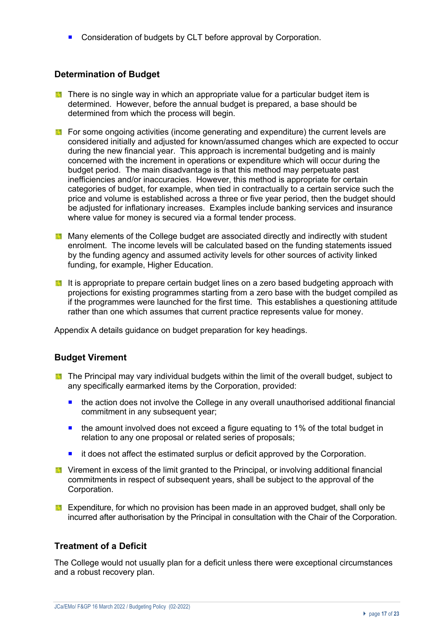■ Consideration of budgets by CLT before approval by Corporation.

## **Determination of Budget**

- **There is no single way in which an appropriate value for a particular budget item is** determined. However, before the annual budget is prepared, a base should be determined from which the process will begin.
- $\blacksquare$  For some ongoing activities (income generating and expenditure) the current levels are considered initially and adjusted for known/assumed changes which are expected to occur during the new financial year. This approach is incremental budgeting and is mainly concerned with the increment in operations or expenditure which will occur during the budget period. The main disadvantage is that this method may perpetuate past inefficiencies and/or inaccuracies. However, this method is appropriate for certain categories of budget, for example, when tied in contractually to a certain service such the price and volume is established across a three or five year period, then the budget should be adjusted for inflationary increases. Examples include banking services and insurance where value for money is secured via a formal tender process.
- **Many elements of the College budget are associated directly and indirectly with student** enrolment. The income levels will be calculated based on the funding statements issued by the funding agency and assumed activity levels for other sources of activity linked funding, for example, Higher Education.
- It is appropriate to prepare certain budget lines on a zero based budgeting approach with projections for existing programmes starting from a zero base with the budget compiled as if the programmes were launched for the first time. This establishes a questioning attitude rather than one which assumes that current practice represents value for money.

Appendix A details guidance on budget preparation for key headings.

## **Budget Virement**

- **The Principal may vary individual budgets within the limit of the overall budget, subject to** any specifically earmarked items by the Corporation, provided:
	- the action does not involve the College in any overall unauthorised additional financial commitment in any subsequent year;
	- the amount involved does not exceed a figure equating to 1% of the total budget in relation to any one proposal or related series of proposals;
	- ¡ it does not affect the estimated surplus or deficit approved by the Corporation.
- Virement in excess of the limit granted to the Principal, or involving additional financial commitments in respect of subsequent years, shall be subject to the approval of the Corporation.
- **EX** Expenditure, for which no provision has been made in an approved budget, shall only be incurred after authorisation by the Principal in consultation with the Chair of the Corporation.

## **Treatment of a Deficit**

The College would not usually plan for a deficit unless there were exceptional circumstances and a robust recovery plan.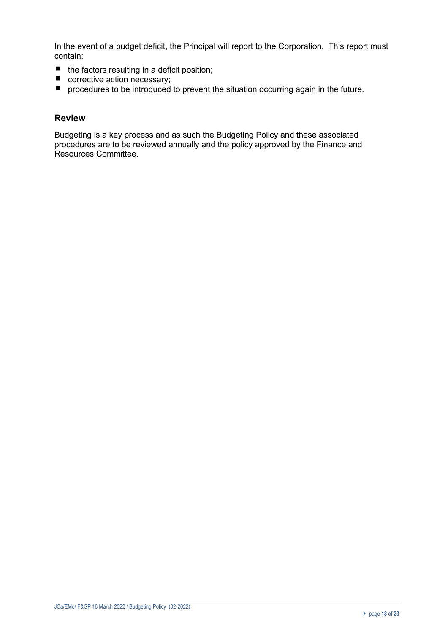In the event of a budget deficit, the Principal will report to the Corporation. This report must contain:

- $\blacksquare$  the factors resulting in a deficit position;
- corrective action necessary;
- **P** procedures to be introduced to prevent the situation occurring again in the future.

### **Review**

Budgeting is a key process and as such the Budgeting Policy and these associated procedures are to be reviewed annually and the policy approved by the Finance and Resources Committee.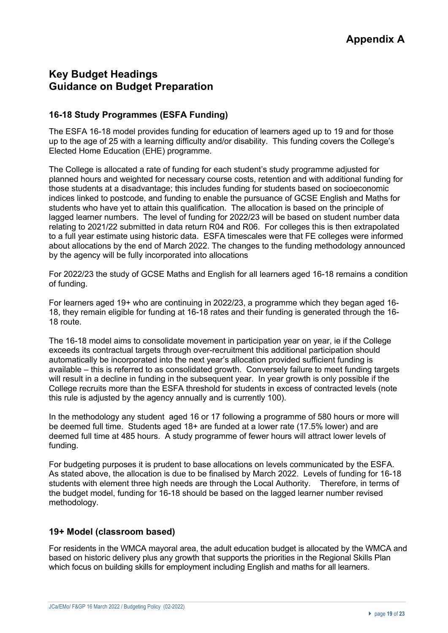## **Key Budget Headings Guidance on Budget Preparation**

## **16-18 Study Programmes (ESFA Funding)**

The ESFA 16-18 model provides funding for education of learners aged up to 19 and for those up to the age of 25 with a learning difficulty and/or disability. This funding covers the College's Elected Home Education (EHE) programme.

The College is allocated a rate of funding for each student's study programme adjusted for planned hours and weighted for necessary course costs, retention and with additional funding for those students at a disadvantage; this includes funding for students based on socioeconomic indices linked to postcode, and funding to enable the pursuance of GCSE English and Maths for students who have yet to attain this qualification. The allocation is based on the principle of lagged learner numbers. The level of funding for 2022/23 will be based on student number data relating to 2021/22 submitted in data return R04 and R06. For colleges this is then extrapolated to a full year estimate using historic data. ESFA timescales were that FE colleges were informed about allocations by the end of March 2022. The changes to the funding methodology announced by the agency will be fully incorporated into allocations

For 2022/23 the study of GCSE Maths and English for all learners aged 16-18 remains a condition of funding.

For learners aged 19+ who are continuing in 2022/23, a programme which they began aged 16- 18, they remain eligible for funding at 16-18 rates and their funding is generated through the 16- 18 route.

The 16-18 model aims to consolidate movement in participation year on year, ie if the College exceeds its contractual targets through over-recruitment this additional participation should automatically be incorporated into the next year's allocation provided sufficient funding is available – this is referred to as consolidated growth. Conversely failure to meet funding targets will result in a decline in funding in the subsequent year. In year growth is only possible if the College recruits more than the ESFA threshold for students in excess of contracted levels (note this rule is adjusted by the agency annually and is currently 100).

In the methodology any student aged 16 or 17 following a programme of 580 hours or more will be deemed full time. Students aged 18+ are funded at a lower rate (17.5% lower) and are deemed full time at 485 hours. A study programme of fewer hours will attract lower levels of funding.

For budgeting purposes it is prudent to base allocations on levels communicated by the ESFA. As stated above, the allocation is due to be finalised by March 2022. Levels of funding for 16-18 students with element three high needs are through the Local Authority. Therefore, in terms of the budget model, funding for 16-18 should be based on the lagged learner number revised methodology.

## **19+ Model (classroom based)**

For residents in the WMCA mayoral area, the adult education budget is allocated by the WMCA and based on historic delivery plus any growth that supports the priorities in the Regional Skills Plan which focus on building skills for employment including English and maths for all learners.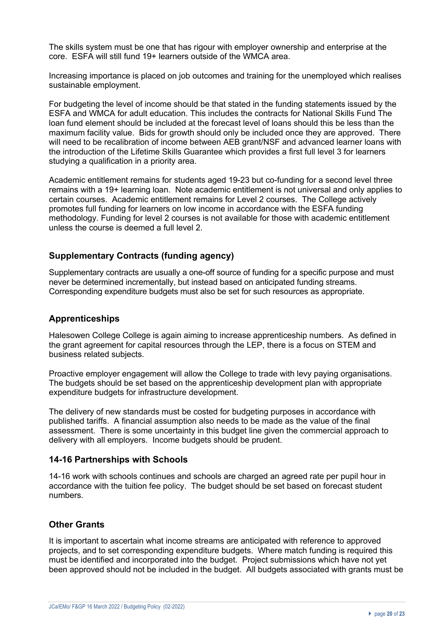The skills system must be one that has rigour with employer ownership and enterprise at the core. ESFA will still fund 19+ learners outside of the WMCA area.

Increasing importance is placed on job outcomes and training for the unemployed which realises sustainable employment.

For budgeting the level of income should be that stated in the funding statements issued by the ESFA and WMCA for adult education. This includes the contracts for National Skills Fund The loan fund element should be included at the forecast level of loans should this be less than the maximum facility value. Bids for growth should only be included once they are approved. There will need to be recalibration of income between AEB grant/NSF and advanced learner loans with the introduction of the Lifetime Skills Guarantee which provides a first full level 3 for learners studying a qualification in a priority area.

Academic entitlement remains for students aged 19-23 but co-funding for a second level three remains with a 19+ learning loan. Note academic entitlement is not universal and only applies to certain courses. Academic entitlement remains for Level 2 courses. The College actively promotes full funding for learners on low income in accordance with the ESFA funding methodology. Funding for level 2 courses is not available for those with academic entitlement unless the course is deemed a full level 2.

## **Supplementary Contracts (funding agency)**

Supplementary contracts are usually a one-off source of funding for a specific purpose and must never be determined incrementally, but instead based on anticipated funding streams. Corresponding expenditure budgets must also be set for such resources as appropriate.

#### **Apprenticeships**

Halesowen College College is again aiming to increase apprenticeship numbers. As defined in the grant agreement for capital resources through the LEP, there is a focus on STEM and business related subjects.

Proactive employer engagement will allow the College to trade with levy paying organisations. The budgets should be set based on the apprenticeship development plan with appropriate expenditure budgets for infrastructure development.

The delivery of new standards must be costed for budgeting purposes in accordance with published tariffs. A financial assumption also needs to be made as the value of the final assessment. There is some uncertainty in this budget line given the commercial approach to delivery with all employers. Income budgets should be prudent.

#### **14-16 Partnerships with Schools**

14-16 work with schools continues and schools are charged an agreed rate per pupil hour in accordance with the tuition fee policy. The budget should be set based on forecast student numbers.

## **Other Grants**

It is important to ascertain what income streams are anticipated with reference to approved projects, and to set corresponding expenditure budgets. Where match funding is required this must be identified and incorporated into the budget. Project submissions which have not yet been approved should not be included in the budget. All budgets associated with grants must be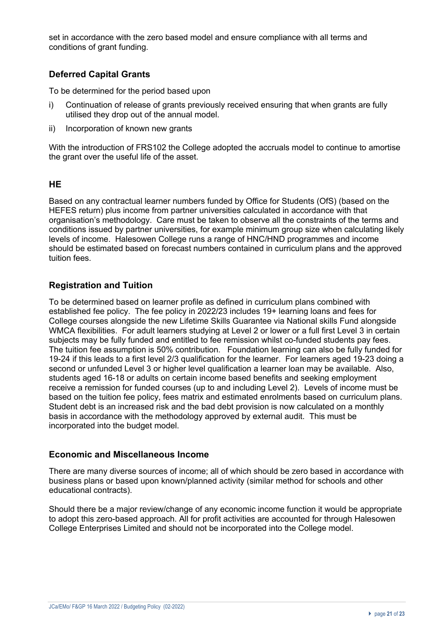set in accordance with the zero based model and ensure compliance with all terms and conditions of grant funding.

## **Deferred Capital Grants**

To be determined for the period based upon

- i) Continuation of release of grants previously received ensuring that when grants are fully utilised they drop out of the annual model.
- ii) Incorporation of known new grants

With the introduction of FRS102 the College adopted the accruals model to continue to amortise the grant over the useful life of the asset.

## **HE**

Based on any contractual learner numbers funded by Office for Students (OfS) (based on the HEFES return) plus income from partner universities calculated in accordance with that organisation's methodology. Care must be taken to observe all the constraints of the terms and conditions issued by partner universities, for example minimum group size when calculating likely levels of income. Halesowen College runs a range of HNC/HND programmes and income should be estimated based on forecast numbers contained in curriculum plans and the approved tuition fees.

## **Registration and Tuition**

To be determined based on learner profile as defined in curriculum plans combined with established fee policy. The fee policy in 2022/23 includes 19+ learning loans and fees for College courses alongside the new Lifetime Skills Guarantee via National skills Fund alongside WMCA flexibilities. For adult learners studying at Level 2 or lower or a full first Level 3 in certain subjects may be fully funded and entitled to fee remission whilst co-funded students pay fees. The tuition fee assumption is 50% contribution. Foundation learning can also be fully funded for 19-24 if this leads to a first level 2/3 qualification for the learner. For learners aged 19-23 doing a second or unfunded Level 3 or higher level qualification a learner loan may be available. Also, students aged 16-18 or adults on certain income based benefits and seeking employment receive a remission for funded courses (up to and including Level 2). Levels of income must be based on the tuition fee policy, fees matrix and estimated enrolments based on curriculum plans. Student debt is an increased risk and the bad debt provision is now calculated on a monthly basis in accordance with the methodology approved by external audit. This must be incorporated into the budget model.

#### **Economic and Miscellaneous Income**

There are many diverse sources of income; all of which should be zero based in accordance with business plans or based upon known/planned activity (similar method for schools and other educational contracts).

Should there be a major review/change of any economic income function it would be appropriate to adopt this zero-based approach. All for profit activities are accounted for through Halesowen College Enterprises Limited and should not be incorporated into the College model.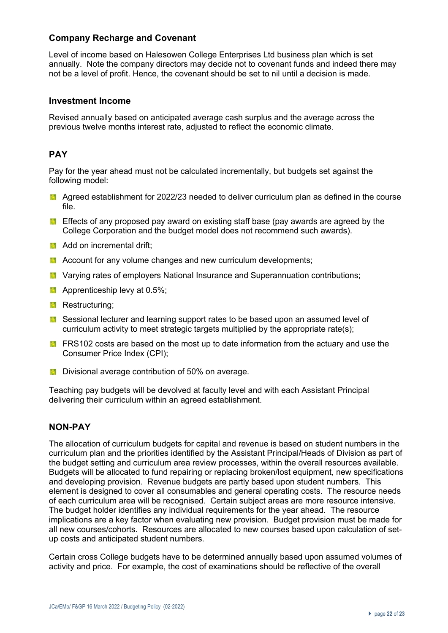## **Company Recharge and Covenant**

Level of income based on Halesowen College Enterprises Ltd business plan which is set annually. Note the company directors may decide not to covenant funds and indeed there may not be a level of profit. Hence, the covenant should be set to nil until a decision is made.

### **Investment Income**

Revised annually based on anticipated average cash surplus and the average across the previous twelve months interest rate, adjusted to reflect the economic climate.

## **PAY**

Pay for the year ahead must not be calculated incrementally, but budgets set against the following model:

- **A** Agreed establishment for 2022/23 needed to deliver curriculum plan as defined in the course file.
- **Effects of any proposed pay award on existing staff base (pay awards are agreed by the** College Corporation and the budget model does not recommend such awards).
- **Add on incremental drift;**
- **A** Account for any volume changes and new curriculum developments;
- **L** Varying rates of employers National Insurance and Superannuation contributions;
- **Apprenticeship levy at 0.5%;**
- **Restructuring;**
- **E** Sessional lecturer and learning support rates to be based upon an assumed level of curriculum activity to meet strategic targets multiplied by the appropriate rate(s);
- **FRS102** costs are based on the most up to date information from the actuary and use the Consumer Price Index (CPI);
- **Divisional average contribution of 50% on average.**

Teaching pay budgets will be devolved at faculty level and with each Assistant Principal delivering their curriculum within an agreed establishment.

## **NON-PAY**

The allocation of curriculum budgets for capital and revenue is based on student numbers in the curriculum plan and the priorities identified by the Assistant Principal/Heads of Division as part of the budget setting and curriculum area review processes, within the overall resources available. Budgets will be allocated to fund repairing or replacing broken/lost equipment, new specifications and developing provision. Revenue budgets are partly based upon student numbers. This element is designed to cover all consumables and general operating costs. The resource needs of each curriculum area will be recognised. Certain subject areas are more resource intensive. The budget holder identifies any individual requirements for the year ahead. The resource implications are a key factor when evaluating new provision. Budget provision must be made for all new courses/cohorts. Resources are allocated to new courses based upon calculation of setup costs and anticipated student numbers.

Certain cross College budgets have to be determined annually based upon assumed volumes of activity and price. For example, the cost of examinations should be reflective of the overall